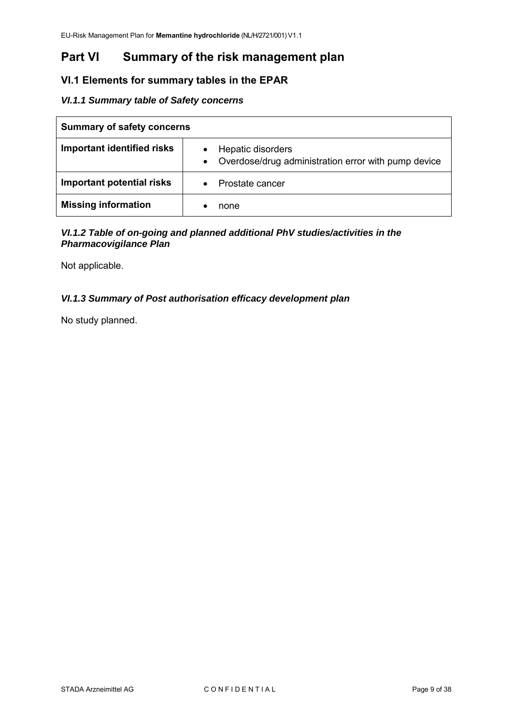# **Part VI Summary of the risk management plan**

# **VI.1 Elements for summary tables in the EPAR**

# *VI.1.1 Summary table of Safety concerns*

| <b>Summary of safety concerns</b> |                                                                               |  |
|-----------------------------------|-------------------------------------------------------------------------------|--|
| Important identified risks        | Hepatic disorders<br>Overdose/drug administration error with pump device<br>٠ |  |
| Important potential risks         | Prostate cancer                                                               |  |
| <b>Missing information</b>        | none                                                                          |  |

# *VI.1.2 Table of on-going and planned additional PhV studies/activities in the Pharmacovigilance Plan*

Not applicable.

# *VI.1.3 Summary of Post authorisation efficacy development plan*

No study planned.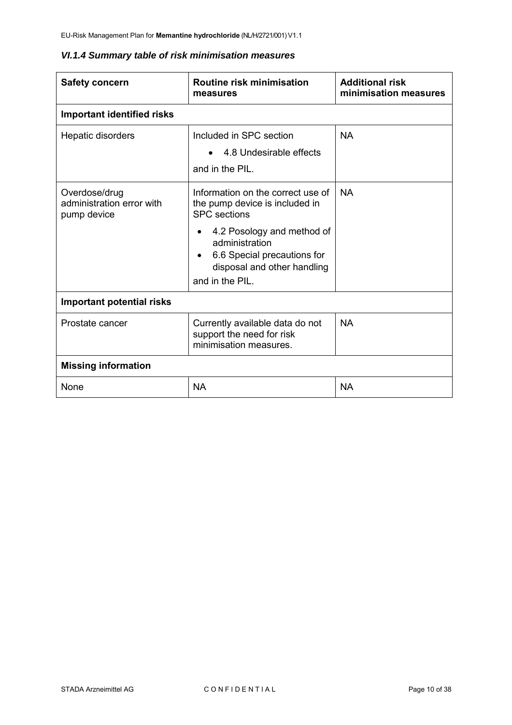# *VI.1.4 Summary table of risk minimisation measures*

| <b>Safety concern</b>                                     | <b>Routine risk minimisation</b><br>measures                                                                                                                                                                                             | <b>Additional risk</b><br>minimisation measures |  |
|-----------------------------------------------------------|------------------------------------------------------------------------------------------------------------------------------------------------------------------------------------------------------------------------------------------|-------------------------------------------------|--|
| <b>Important identified risks</b>                         |                                                                                                                                                                                                                                          |                                                 |  |
| Hepatic disorders                                         | Included in SPC section<br>• 4.8 Undesirable effects<br>and in the PIL.                                                                                                                                                                  | <b>NA</b>                                       |  |
| Overdose/drug<br>administration error with<br>pump device | Information on the correct use of<br>the pump device is included in<br><b>SPC</b> sections<br>4.2 Posology and method of<br>$\bullet$<br>administration<br>6.6 Special precautions for<br>disposal and other handling<br>and in the PIL. | <b>NA</b>                                       |  |
| <b>Important potential risks</b>                          |                                                                                                                                                                                                                                          |                                                 |  |
| Prostate cancer                                           | Currently available data do not<br>support the need for risk<br>minimisation measures.                                                                                                                                                   | <b>NA</b>                                       |  |
| <b>Missing information</b>                                |                                                                                                                                                                                                                                          |                                                 |  |
| <b>None</b>                                               | <b>NA</b>                                                                                                                                                                                                                                | <b>NA</b>                                       |  |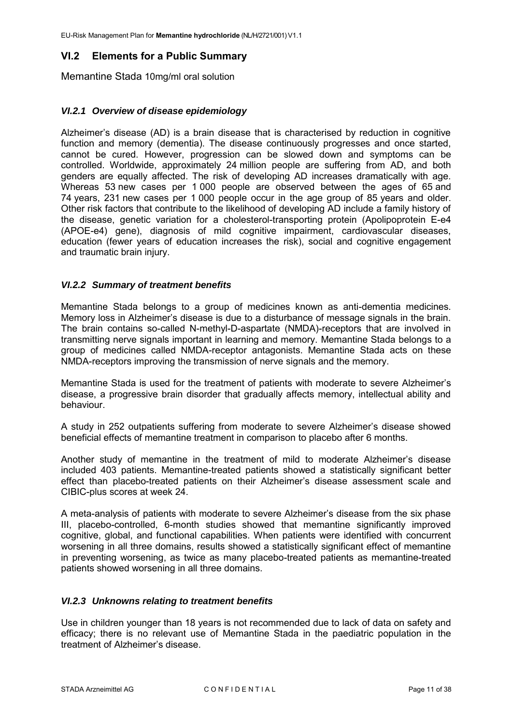# **VI.2 Elements for a Public Summary**

Memantine Stada 10mg/ml oral solution

#### *VI.2.1 Overview of disease epidemiology*

Alzheimer's disease (AD) is a brain disease that is characterised by reduction in cognitive function and memory (dementia). The disease continuously progresses and once started, cannot be cured. However, progression can be slowed down and symptoms can be controlled. Worldwide, approximately 24 million people are suffering from AD, and both genders are equally affected. The risk of developing AD increases dramatically with age. Whereas 53 new cases per 1 000 people are observed between the ages of 65 and 74 years, 231 new cases per 1 000 people occur in the age group of 85 years and older. Other risk factors that contribute to the likelihood of developing AD include a family history of the disease, genetic variation for a cholesterol-transporting protein (Apolipoprotein E-e4 (APOE-e4) gene), diagnosis of mild cognitive impairment, cardiovascular diseases, education (fewer years of education increases the risk), social and cognitive engagement and traumatic brain injury.

#### *VI.2.2 Summary of treatment benefits*

Memantine Stada belongs to a group of medicines known as anti-dementia medicines. Memory loss in Alzheimer's disease is due to a disturbance of message signals in the brain. The brain contains so-called N-methyl-D-aspartate (NMDA)-receptors that are involved in transmitting nerve signals important in learning and memory. Memantine Stada belongs to a group of medicines called NMDA-receptor antagonists. Memantine Stada acts on these NMDA-receptors improving the transmission of nerve signals and the memory.

Memantine Stada is used for the treatment of patients with moderate to severe Alzheimer's disease, a progressive brain disorder that gradually affects memory, intellectual ability and behaviour.

A study in 252 outpatients suffering from moderate to severe Alzheimer's disease showed beneficial effects of memantine treatment in comparison to placebo after 6 months.

Another study of memantine in the treatment of mild to moderate Alzheimer's disease included 403 patients. Memantine-treated patients showed a statistically significant better effect than placebo-treated patients on their Alzheimer's disease assessment scale and CIBIC-plus scores at week 24.

A meta-analysis of patients with moderate to severe Alzheimer's disease from the six phase III, placebo-controlled, 6-month studies showed that memantine significantly improved cognitive, global, and functional capabilities. When patients were identified with concurrent worsening in all three domains, results showed a statistically significant effect of memantine in preventing worsening, as twice as many placebo-treated patients as memantine-treated patients showed worsening in all three domains.

#### *VI.2.3 Unknowns relating to treatment benefits*

Use in children younger than 18 years is not recommended due to lack of data on safety and efficacy; there is no relevant use of Memantine Stada in the paediatric population in the treatment of Alzheimer's disease.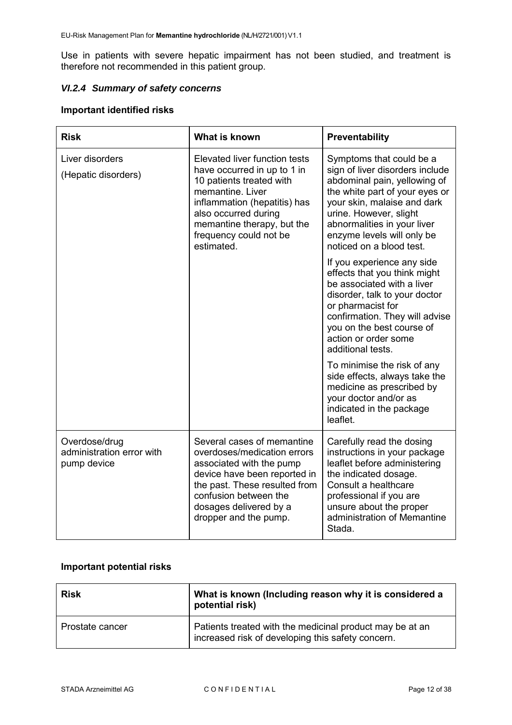Use in patients with severe hepatic impairment has not been studied, and treatment is therefore not recommended in this patient group.

# *VI.2.4 Summary of safety concerns*

# **Important identified risks**

| <b>Risk</b>                                               | What is known                                                                                                                                                                                                                              | Preventability                                                                                                                                                                                                                                                                  |
|-----------------------------------------------------------|--------------------------------------------------------------------------------------------------------------------------------------------------------------------------------------------------------------------------------------------|---------------------------------------------------------------------------------------------------------------------------------------------------------------------------------------------------------------------------------------------------------------------------------|
| Liver disorders<br>(Hepatic disorders)                    | Elevated liver function tests<br>have occurred in up to 1 in<br>10 patients treated with<br>memantine. Liver<br>inflammation (hepatitis) has<br>also occurred during<br>memantine therapy, but the<br>frequency could not be<br>estimated. | Symptoms that could be a<br>sign of liver disorders include<br>abdominal pain, yellowing of<br>the white part of your eyes or<br>your skin, malaise and dark<br>urine. However, slight<br>abnormalities in your liver<br>enzyme levels will only be<br>noticed on a blood test. |
|                                                           |                                                                                                                                                                                                                                            | If you experience any side<br>effects that you think might<br>be associated with a liver<br>disorder, talk to your doctor<br>or pharmacist for<br>confirmation. They will advise<br>you on the best course of<br>action or order some<br>additional tests.                      |
|                                                           |                                                                                                                                                                                                                                            | To minimise the risk of any<br>side effects, always take the<br>medicine as prescribed by<br>your doctor and/or as<br>indicated in the package<br>leaflet.                                                                                                                      |
| Overdose/drug<br>administration error with<br>pump device | Several cases of memantine<br>overdoses/medication errors<br>associated with the pump<br>device have been reported in<br>the past. These resulted from<br>confusion between the<br>dosages delivered by a<br>dropper and the pump.         | Carefully read the dosing<br>instructions in your package<br>leaflet before administering<br>the indicated dosage.<br>Consult a healthcare<br>professional if you are<br>unsure about the proper<br>administration of Memantine<br>Stada.                                       |

# **Important potential risks**

| <b>Risk</b>     | What is known (Including reason why it is considered a<br>potential risk)                                     |
|-----------------|---------------------------------------------------------------------------------------------------------------|
| Prostate cancer | Patients treated with the medicinal product may be at an<br>increased risk of developing this safety concern. |